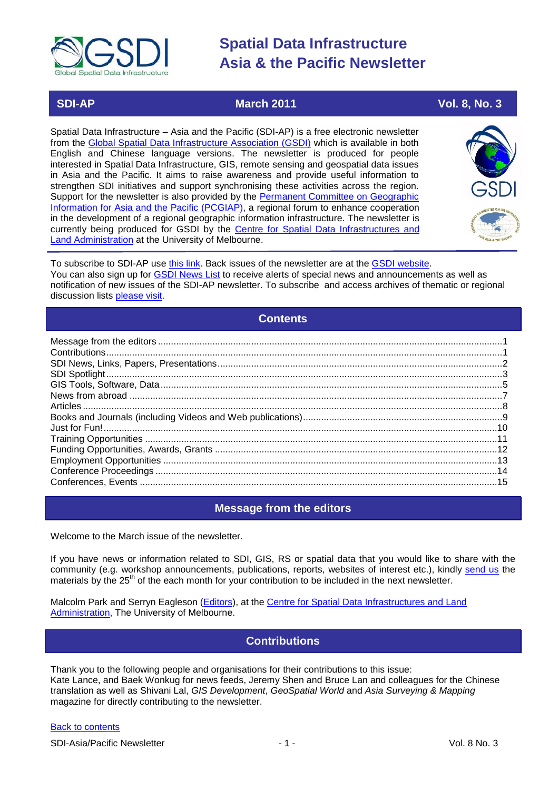

# **SDI-AP March 2011 March** 2011 **Vol. 8, No. 3**

Spatial Data Infrastructure – Asia and the Pacific (SDI-AP) is a free electronic newsletter from the [Global Spatial Data Infrastructure Association \(GSDI\)](http://www.gsdi.org/) which is available in both English and Chinese language versions. The newsletter is produced for people interested in Spatial Data Infrastructure, GIS, remote sensing and geospatial data issues in Asia and the Pacific. It aims to raise awareness and provide useful information to strengthen SDI initiatives and support synchronising these activities across the region. Support for the newsletter is also provided by the Permanent Committee on Geographic [Information for Asia and the Pacific \(PCGIAP\)](http://www.pcgiap.org/), a regional forum to enhance cooperation in the development of a regional geographic information infrastructure. The newsletter is currently being produced for GSDI by the [Centre for Spatial Data Infrastructures and](http://www.csdila.unimelb.edu.au/)  [Land Administration](http://www.csdila.unimelb.edu.au/) at the University of Melbourne.



To subscribe to SDI-AP use [this link.](http://www.gsdi.org/newslist/gsdisubscribe.asp) Back issues of the newsletter are at the [GSDI website.](http://www.gsdi.org/newsletters.asp) You can also sign up for **GSDI News List** to receive alerts of special news and announcements as well as notification of new issues of the SDI-AP newsletter. To subscribe and access archives of thematic or regional discussion lists [please visit.](http://www.gsdi.org/discussionlists.asp)

# **Contents**

<span id="page-0-0"></span>

# **Message from the editors**

<span id="page-0-1"></span>Welcome to the March issue of the newsletter.

If you have news or information related to SDI, GIS, RS or spatial data that you would like to share with the community (e.g. workshop announcements, publications, reports, websites of interest etc.), kindly [send us](mailto:.SDI-AP@gsdi.org) the materials by the 25<sup>th</sup> of the each month for your contribution to be included in the next newsletter.

<span id="page-0-2"></span>Malcolm Park and Serryn Eagleson [\(Editors\)](mailto:Editor.SDIAP@gmail.com), at the [Centre for Spatial Data Infrastructures and Land](http://www.csdila.unimelb.edu.au/)  [Administration,](http://www.csdila.unimelb.edu.au/) The University of Melbourne.

# **Contributions**

Thank you to the following people and organisations for their contributions to this issue: Kate Lance, and Baek Wonkug for news feeds, Jeremy Shen and Bruce Lan and colleagues for the Chinese translation as well as Shivani Lal, *GIS Development*, *GeoSpatial World* and *Asia Surveying & Mapping* magazine for directly contributing to the newsletter.

### [Back to contents](#page-0-0)

SDI-Asia/Pacific Newsletter  $\overline{1}$  - 1 -  $\overline{2}$  - 1 -  $\overline{2}$  Vol. 8 No. 3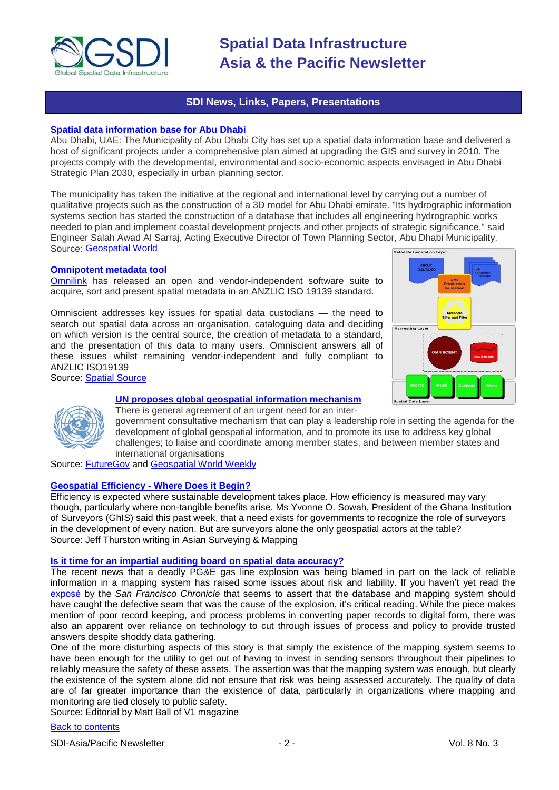

# **SDI News, Links, Papers, Presentations**

# <span id="page-1-0"></span>**Spatial data information base for Abu Dhabi**

Abu Dhabi, UAE: The Municipality of Abu Dhabi City has set up a spatial data information base and delivered a host of significant projects under a comprehensive plan aimed at upgrading the GIS and survey in 2010. The projects comply with the developmental, environmental and socio-economic aspects envisaged in Abu Dhabi Strategic Plan 2030, especially in urban planning sector.

The municipality has taken the initiative at the regional and international level by carrying out a number of qualitative projects such as the construction of a 3D model for Abu Dhabi emirate. "Its hydrographic information systems section has started the construction of a database that includes all engineering hydrographic works needed to plan and implement coastal development projects and other projects of strategic significance," said Engineer Salah Awad Al Sarraj, Acting Executive Director of Town Planning Sector, Abu Dhabi Municipality. Source: [Geospatial World](http://www.geospatialworld.net/index.php?option=com_content&view=article&id=21586:spatial-data-information-base-for-abu-dhabi&catid=42&Itemid=1) Metadata Generation Lave

# **Omnipotent metadata tool**

[Omnilink](http://www.omnilink.com.au/) has released an open and vendor-independent software suite to acquire, sort and present spatial metadata in an ANZLIC ISO 19139 standard.

Omniscient addresses key issues for spatial data custodians — the need to search out spatial data across an organisation, cataloguing data and deciding on which version is the central source, the creation of metadata to a standard, and the presentation of this data to many users. Omniscient answers all of these issues whilst remaining vendor-independent and fully compliant to ANZLIC ISO19139 Source: [Spatial Source](http://www.spatialsource.com.au/2011/02/14/article/Omnipotent-metadata-tool/XCPJOFWSHV.html)





# **[UN proposes global geospatial information mechanism](http://www.futuregov.asia/articles/2011/feb/14/un-establish-entity-global-geospatial-information-/)**

There is general agreement of an urgent need for an intergovernment consultative mechanism that can play a leadership role in setting the agenda for the development of global geospatial information, and to promote its use to address key global challenges; to liaise and coordinate among member states, and between member states and international organisations

Source: [FutureGov](http://www.futuregov.asia/) and [Geospatial World Weekly](http://geospatialworld.net/index.php?option=com_content&view=article&id=21588%3Aun-proposes-global-geospatial-information-mechanism&catid=78%3Amiscellaneous-policy&Itemid=1)

### **[Geospatial Efficiency -](http://www.asmmag.com/features/feature/geospatial-efficiency-where-does-it-begin-2402740) Where Does it Begin?**

Efficiency is expected where sustainable development takes place. How efficiency is measured may vary though, particularly where non-tangible benefits arise. Ms Yvonne O. Sowah, President of the Ghana Institution of Surveyors (GhIS) said this past week, that a need exists for governments to recognize the role of surveyors in the development of every nation. But are surveyors alone the only geospatial actors at the table? Source: Jeff Thurston writing in Asian Surveying & Mapping

### **[Is it time for an impartial auditing board on spatial data accuracy?](http://www.vector1media.com/dialog/perspectives/18707-is-it-time-for-an-impartial-auditing-board-on-spatial-data-accuracy.html)**

The recent news that a deadly PG&E gas line explosion was being blamed in part on the lack of reliable information in a mapping system has raised some issues about risk and liability. If you haven't yet read th[e](http://www.sfgate.com/cgi-bin/article.cgi?f=/c/a/2011/02/12/MNAC1HLG95.DTL) exposé by the *[San Francisco Chronicle](http://www.sfgate.com/cgi-bin/article.cgi?f=/c/a/2011/02/12/MNAC1HLG95.DTL)* that seems to assert that the database and mapping system should have caught the defective seam that was the cause of the explosion, it's critical reading. While the piece makes mention of poor record keeping, and process problems in converting paper records to digital form, there was also an apparent over reliance on technology to cut through issues of process and policy to provide trusted answers despite shoddy data gathering.

One of the more disturbing aspects of this story is that simply the existence of the mapping system seems to have been enough for the utility to get out of having to invest in sending sensors throughout their pipelines to reliably measure the safety of these assets. The assertion was that the mapping system was enough, but clearly the existence of the system alone did not ensure that risk was being assessed accurately. The quality of data are of far greater importance than the existence of data, particularly in organizations where mapping and monitoring are tied closely to public safety.

Source: Editorial by Matt Ball of V1 magazine

### [Back to contents](#page-0-0)

SDI-Asia/Pacific Newsletter  $\sim$  2 - 2 - Vol. 8 No. 3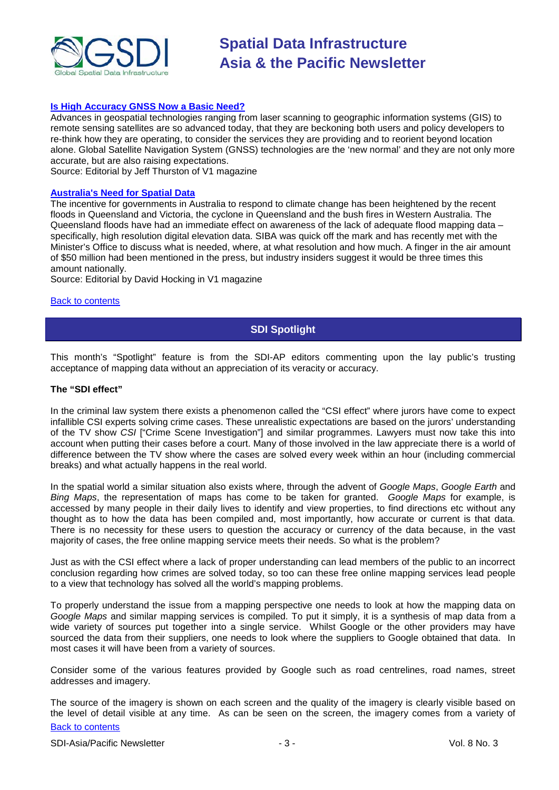

# **[Is High Accuracy GNSS Now a Basic Need?](http://www.vector1media.com/dialog/perspectives/18555-is-high-accuracy-gnss-now-a-basic-need.html)**

Advances in geospatial technologies ranging from laser scanning to geographic information systems (GIS) to remote sensing satellites are so advanced today, that they are beckoning both users and policy developers to re-think how they are operating, to consider the services they are providing and to reorient beyond location alone. Global Satellite Navigation System (GNSS) technologies are the 'new normal' and they are not only more accurate, but are also raising expectations.

Source: Editorial by Jeff Thurston of V1 magazine

# **[Australia's Need for Spatial Data](http://www.vector1media.com/article/columns/18432-show-me-the-money-australias-need-for-spatial-data.html)**

The incentive for governments in Australia to respond to climate change has been heightened by the recent floods in Queensland and Victoria, the cyclone in Queensland and the bush fires in Western Australia. The Queensland floods have had an immediate effect on awareness of the lack of adequate flood mapping data – specifically, high resolution digital elevation data. SIBA was quick off the mark and has recently met with the Minister's Office to discuss what is needed, where, at what resolution and how much. A finger in the air amount of \$50 million had been mentioned in the press, but industry insiders suggest it would be three times this amount nationally.

Source: Editorial by David Hocking in V1 magazine

### <span id="page-2-0"></span>[Back to contents](#page-0-0)

# **SDI Spotlight**

This month's "Spotlight" feature is from the SDI-AP editors commenting upon the lay public's trusting acceptance of mapping data without an appreciation of its veracity or accuracy.

#### **The "SDI effect"**

In the criminal law system there exists a phenomenon called the "CSI effect" where jurors have come to expect infallible CSI experts solving crime cases. These unrealistic expectations are based on the jurors' understanding of the TV show *CSI* ["Crime Scene Investigation"] and similar programmes. Lawyers must now take this into account when putting their cases before a court. Many of those involved in the law appreciate there is a world of difference between the TV show where the cases are solved every week within an hour (including commercial breaks) and what actually happens in the real world.

In the spatial world a similar situation also exists where, through the advent of *Google Maps*, *Google Earth* and *Bing Maps*, the representation of maps has come to be taken for granted. *Google Maps* for example, is accessed by many people in their daily lives to identify and view properties, to find directions etc without any thought as to how the data has been compiled and, most importantly, how accurate or current is that data. There is no necessity for these users to question the accuracy or currency of the data because, in the vast majority of cases, the free online mapping service meets their needs. So what is the problem?

Just as with the CSI effect where a lack of proper understanding can lead members of the public to an incorrect conclusion regarding how crimes are solved today, so too can these free online mapping services lead people to a view that technology has solved all the world's mapping problems.

To properly understand the issue from a mapping perspective one needs to look at how the mapping data on *Google Maps* and similar mapping services is compiled. To put it simply, it is a synthesis of map data from a wide variety of sources put together into a single service. Whilst Google or the other providers may have sourced the data from their suppliers, one needs to look where the suppliers to Google obtained that data. In most cases it will have been from a variety of sources.

Consider some of the various features provided by Google such as road centrelines, road names, street addresses and imagery.

[Back to contents](#page-0-0) The source of the imagery is shown on each screen and the quality of the imagery is clearly visible based on the level of detail visible at any time. As can be seen on the screen, the imagery comes from a variety of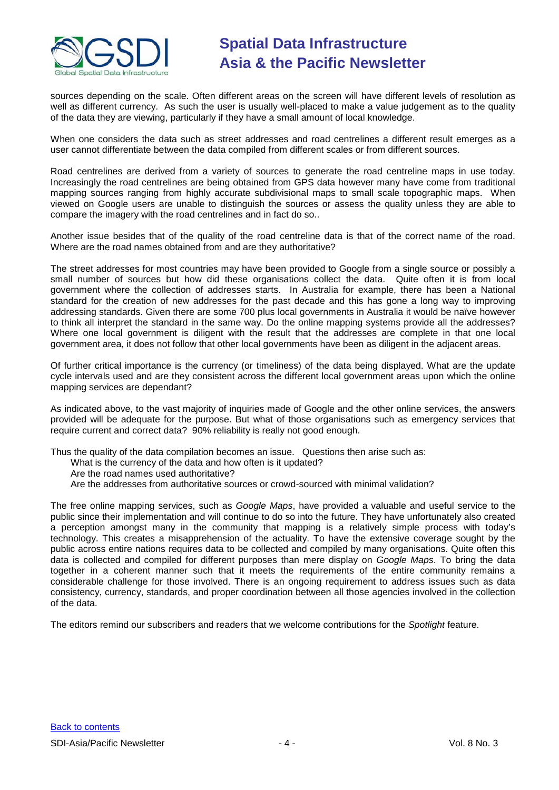

sources depending on the scale. Often different areas on the screen will have different levels of resolution as well as different currency. As such the user is usually well-placed to make a value judgement as to the quality of the data they are viewing, particularly if they have a small amount of local knowledge.

When one considers the data such as street addresses and road centrelines a different result emerges as a user cannot differentiate between the data compiled from different scales or from different sources.

Road centrelines are derived from a variety of sources to generate the road centreline maps in use today. Increasingly the road centrelines are being obtained from GPS data however many have come from traditional mapping sources ranging from highly accurate subdivisional maps to small scale topographic maps. When viewed on Google users are unable to distinguish the sources or assess the quality unless they are able to compare the imagery with the road centrelines and in fact do so..

Another issue besides that of the quality of the road centreline data is that of the correct name of the road. Where are the road names obtained from and are they authoritative?

The street addresses for most countries may have been provided to Google from a single source or possibly a small number of sources but how did these organisations collect the data. Quite often it is from local government where the collection of addresses starts. In Australia for example, there has been a National standard for the creation of new addresses for the past decade and this has gone a long way to improving addressing standards. Given there are some 700 plus local governments in Australia it would be naïve however to think all interpret the standard in the same way. Do the online mapping systems provide all the addresses? Where one local government is diligent with the result that the addresses are complete in that one local government area, it does not follow that other local governments have been as diligent in the adjacent areas.

Of further critical importance is the currency (or timeliness) of the data being displayed. What are the update cycle intervals used and are they consistent across the different local government areas upon which the online mapping services are dependant?

As indicated above, to the vast majority of inquiries made of Google and the other online services, the answers provided will be adequate for the purpose. But what of those organisations such as emergency services that require current and correct data? 90% reliability is really not good enough.

Thus the quality of the data compilation becomes an issue. Questions then arise such as:

- What is the currency of the data and how often is it updated?
- Are the road names used authoritative?
- Are the addresses from authoritative sources or crowd-sourced with minimal validation?

The free online mapping services, such as *Google Maps*, have provided a valuable and useful service to the public since their implementation and will continue to do so into the future. They have unfortunately also created a perception amongst many in the community that mapping is a relatively simple process with today's technology. This creates a misapprehension of the actuality. To have the extensive coverage sought by the public across entire nations requires data to be collected and compiled by many organisations. Quite often this data is collected and compiled for different purposes than mere display on *Google Maps*. To bring the data together in a coherent manner such that it meets the requirements of the entire community remains a considerable challenge for those involved. There is an ongoing requirement to address issues such as data consistency, currency, standards, and proper coordination between all those agencies involved in the collection of the data.

The editors remind our subscribers and readers that we welcome contributions for the *Spotlight* feature.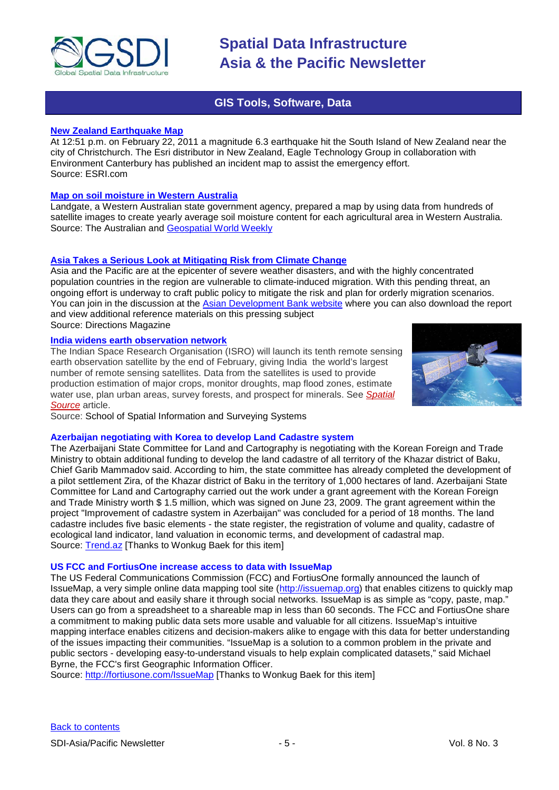

# **GIS Tools, Software, Data**

# <span id="page-4-0"></span>**[New Zealand Earthquake Map](http://www.esri.com/services/disaster-response/new-zealand-earthquake/index.html)**

At 12:51 p.m. on February 22, 2011 a magnitude 6.3 earthquake hit the South Island of New Zealand near the city of Christchurch. The Esri distributor in New Zealand, Eagle Technology Group in collaboration with Environment Canterbury has published an incident map to assist the emergency effort. Source: ESRI.com

### **[Map on soil moisture in Western Australia](http://www.theaustralian.com.au/news/nation/wheatfarmers-face-even-drier-soil/story-e6frg6nf-1226003271650)**

Landgate, a Western Australian state government agency, prepared a map by using data from hundreds of satellite images to create yearly average soil moisture content for each agricultural area in Western Australia. Source: The Australian and [Geospatial World Weekly](http://www.geospatialworld.net/index.php?option=com_content&view=article&id=21570%3Amap-on-soil-moisture-in-western-australia&catid=59%3Aapplication-geology&Itemid=1&pagetype=newssearch)

# **[Asia Takes a Serious Look at Mitigating Risk from Climate Change](http://www.asmmag.com/features/feature/asia-takes-a-serious-look-at-mitigating-risk-from-climate-change-1002637)**

Asia and the Pacific are at the epicenter of severe weather disasters, and with the highly concentrated population countries in the region are vulnerable to climate-induced migration. With this pending threat, an ongoing effort is underway to craft public policy to mitigate the risk and plan for orderly migration scenarios. You can join in the discussion at the [Asian Development Bank website](http://www.adb.org/SocialDevelopment/climate-migration/) where you can also download the report and view additional reference materials on this pressing subject Source: Directions Magazine

### **[India widens earth observation network](http://www.ssis.unsw.edu.au/?p=1563)**

The Indian Space Research Organisation (ISRO) will launch its tenth remote sensing earth observation satellite by the end of February, giving India the world's largest number of remote sensing satellites. Data from the satellites is used to provide production estimation of major crops, monitor droughts, map flood zones, estimate water use, plan urban areas, survey forests, and prospect for minerals. See *[Spatial](http://www.spatialsource.com.au/stats.php?a=c&e=RHGBIOQZVQ&s=GLWZRLTAKJ&url=2011/02/03/article/India-widens-earth-observation-network/WZMAYEEBNN.html)  [Source](http://www.spatialsource.com.au/stats.php?a=c&e=RHGBIOQZVQ&s=GLWZRLTAKJ&url=2011/02/03/article/India-widens-earth-observation-network/WZMAYEEBNN.html)* article.

Source: School of Spatial Information and Surveying Systems

# **Azerbaijan negotiating with Korea to develop Land Cadastre system**

The Azerbaijani State Committee for Land and Cartography is negotiating with the Korean Foreign and Trade Ministry to obtain additional funding to develop the land cadastre of all territory of the Khazar district of Baku, Chief Garib Mammadov said. According to him, the state committee has already completed the development of a pilot settlement Zira, of the Khazar district of Baku in the territory of 1,000 hectares of land. Azerbaijani State Committee for Land and Cartography carried out the work under a grant agreement with the Korean Foreign and Trade Ministry worth \$ 1.5 million, which was signed on June 23, 2009. The grant agreement within the project "Improvement of cadastre system in Azerbaijan" was concluded for a period of 18 months. The land cadastre includes five basic elements - the state register, the registration of volume and quality, cadastre of ecological land indicator, land valuation in economic terms, and development of cadastral map. Source: [Trend.az](http://en.trend.az/capital/business/1824638.html) [Thanks to Wonkug Baek for this item]

### **US FCC and FortiusOne increase access to data with IssueMap**

The US Federal Communications Commission (FCC) and FortiusOne formally announced the launch of IssueMap, a very simple online data mapping tool site [\(http://issuemap.org\)](http://issuemap.org/) that enables citizens to quickly map data they care about and easily share it through social networks. IssueMap is as simple as "copy, paste, map." Users can go from a spreadsheet to a shareable map in less than 60 seconds. The FCC and FortiusOne share a commitment to making public data sets more usable and valuable for all citizens. IssueMap's intuitive mapping interface enables citizens and decision-makers alike to engage with this data for better understanding of the issues impacting their communities. "IssueMap is a solution to a common problem in the private and public sectors - developing easy-to-understand visuals to help explain complicated datasets," said Michael Byrne, the FCC's first Geographic Information Officer.

Source:<http://fortiusone.com/IssueMap> [Thanks to Wonkug Baek for this item]

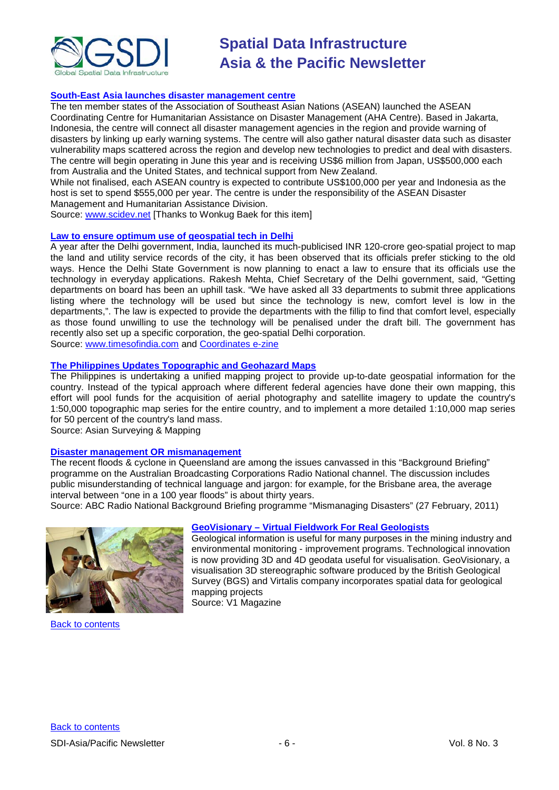

# **[South-East Asia launches disaster management centre](http://www.scidev.net/en/south-east-asia/news/south-east-asia-launches-disaster-management-centre.html)**

The ten member states of the Association of Southeast Asian Nations (ASEAN) launched the ASEAN Coordinating Centre for Humanitarian Assistance on Disaster Management (AHA Centre). Based in Jakarta, Indonesia, the centre will connect all disaster management agencies in the region and provide warning of disasters by linking up early warning systems. The centre will also gather natural disaster data such as disaster vulnerability maps scattered across the region and develop new technologies to predict and deal with disasters. The centre will begin operating in June this year and is receiving US\$6 million from Japan, US\$500,000 each from Australia and the United States, and technical support from New Zealand.

While not finalised, each ASEAN country is expected to contribute US\$100,000 per year and Indonesia as the host is set to spend \$555,000 per year. The centre is under the responsibility of the ASEAN Disaster Management and Humanitarian Assistance Division.

Source: [www.scidev.net](http://www.scidev.net/) [Thanks to Wonkug Baek for this item]

### **[Law to ensure optimum use of geospatial tech in Delhi](http://timesofindia.indiatimes.com/city/delhi/Law-to-ensure-government-officials-use-new-technology/articleshow/7306762.cms)**

A year after the Delhi government, India, launched its much-publicised INR 120-crore geo-spatial project to map the land and utility service records of the city, it has been observed that its officials prefer sticking to the old ways. Hence the Delhi State Government is now planning to enact a law to ensure that its officials use the technology in everyday applications. Rakesh Mehta, Chief Secretary of the Delhi government, said, "Getting departments on board has been an uphill task. "We have asked all 33 departments to submit three applications listing where the technology will be used but since the technology is new, comfort level is low in the departments,". The law is expected to provide the departments with the fillip to find that comfort level, especially as those found unwilling to use the technology will be penalised under the draft bill. The government has recently also set up a specific corporation, the geo-spatial Delhi corporation.

Source: [www.timesofindia.com](http://www.timesofindia.com/) and [Coordinates e-zine](http://mycoordinates.org/gis-15/#1)

# **The Philippines [Updates Topographic and Geohazard Maps](http://www.asmmag.com/features/feature/the-philippines-updates-topographic-and-geohazard-maps-2302725)**

The Philippines is undertaking a unified mapping project to provide up-to-date geospatial information for the country. Instead of the typical approach where different federal agencies have done their own mapping, this effort will pool funds for the acquisition of aerial photography and satellite imagery to update the country's 1:50,000 topographic map series for the entire country, and to implement a more detailed 1:10,000 map series for 50 percent of the country's land mass.

Source: Asian Surveying & Mapping

# **[Disaster management OR mismanagement](http://www.abc.net.au/rn/backgroundbriefing/stories/2011/3146534.htm)**

The recent floods & cyclone in Queensland are among the issues canvassed in this "Background Briefing" programme on the Australian Broadcasting Corporations Radio National channel. The discussion includes public misunderstanding of technical language and jargon: for example, for the Brisbane area, the average interval between "one in a 100 year floods" is about thirty years.

Source: ABC Radio National Background Briefing programme "Mismanaging Disasters" (27 February, 2011)



[Back to contents](#page-0-0)

# **GeoVisionary – [Virtual Fieldwork For Real Geologists](http://www.vector1media.com/article/features/18253-geovisionary-virtual-fieldwork-for-real-geologists.html)**

Geological information is useful for many purposes in the mining industry and environmental monitoring - improvement programs. Technological innovation is now providing 3D and 4D geodata useful for visualisation. GeoVisionary, a visualisation 3D stereographic software produced by the British Geological Survey (BGS) and Virtalis company incorporates spatial data for geological mapping projects Source: V1 Magazine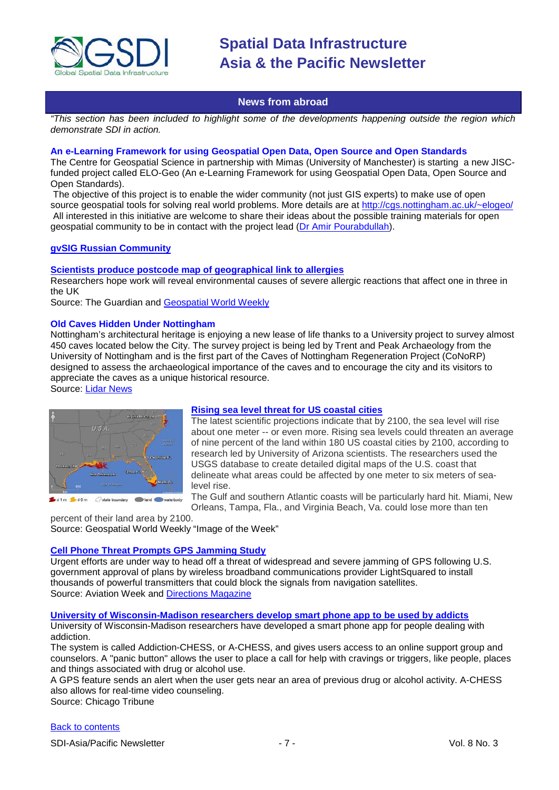

# **News from abroad**

<span id="page-6-0"></span>*"This section has been included to highlight some of the developments happening outside the region which demonstrate SDI in action.*

#### **An e-Learning Framework for using Geospatial Open Data, Open Source and Open Standards**

The Centre for Geospatial Science in partnership with Mimas (University of Manchester) is starting a new JISCfunded project called ELO-Geo (An e-Learning Framework for using Geospatial Open Data, Open Source and Open Standards).

The objective of this project is to enable the wider community (not just GIS experts) to make use of open source geospatial tools for solving real world problems. More details are at<http://cgs.nottingham.ac.uk/~elogeo/> All interested in this initiative are welcome to share their ideas about the possible training materials for open geospatial community to be in contact with the project lead [\(Dr Amir Pourabdullah\)](mailto:amir.pourabdollah@nottingham.ac.uk).

# **[gvSIG Russian Community](https://gvsig.org/web/community/comm_groups/comm_gvsig_ru/view?set_language=en)**

### **[Scientists produce postcode map of geographical link to allergies](http://www.guardian.co.uk/society/2011/feb/07/allergies-scientists-research-geography)**

Researchers hope work will reveal environmental causes of severe allergic reactions that affect one in three in the UK

Source: The Guardian and [Geospatial World Weekly](http://www.geospatialworld.net/index.php?option=com_content&view=article&id=21559%3Amap-uncovers-environmental-causes-of-allergies&catid=47%3Aproduct-surveying-mapping&Itemid=1&pagetype=newssearch)

### **Old Caves Hidden Under Nottingham**

Nottingham's architectural heritage is enjoying a new lease of life thanks to a University project to survey almost 450 caves located below the City. The survey project is being led by Trent and Peak Archaeology from the University of Nottingham and is the first part of the Caves of Nottingham Regeneration Project (CoNoRP) designed to assess the archaeological importance of the caves and to encourage the city and its visitors to appreciate the caves as a unique historical resource.

Source: [Lidar News](http://www.lidarnews.com/content/view/8235/)



### **[Rising sea level threat for US coastal cities](http://www.geospatialworld.net/index.php?option=com_imageoftheweek&view=managetemplate&id=20&Itemid=139&year=2011)**

The latest scientific projections indicate that by 2100, the sea level will rise about one meter -- or even more. Rising sea levels could threaten an average of nine percent of the land within 180 US coastal cities by 2100, according to research led by University of Arizona scientists. The researchers used the USGS database to create detailed digital maps of the U.S. coast that delineate what areas could be affected by one meter to six meters of sealevel rise.

The Gulf and southern Atlantic coasts will be particularly hard hit. Miami, New Orleans, Tampa, Fla., and Virginia Beach, Va. could lose more than ten

percent of their land area by 2100. Source: Geospatial World Weekly "Image of the Week"

### **[Cell Phone Threat Prompts GPS Jamming Study](http://www.aviationweek.com/aw/generic/story_generic.jsp?channel=aviationdaily&id=news/avd/2011/02/15/10.xml&headline=Cell%20Phone%20Threat%20Prompts%20GPS%20Jamming%20Study)**

Urgent efforts are under way to head off a threat of widespread and severe jamming of GPS following U.S. government approval of plans by wireless broadband communications provider LightSquared to install thousands of powerful transmitters that could block the signals from navigation satellites. Source: Aviation Week and [Directions Magazine](http://www.directionsmag.com/worthaclick/entry/cell-phone-threat-prompts-gps-jamming-study-aviation-week/164620)

**[University of Wisconsin-Madison researchers develop smart phone app to be used by addicts](http://www.chicagotribune.com/news/local/sns-ap-wi--phoneappforaddicts,0,4914543.story)**

University of Wisconsin-Madison researchers have developed a smart phone app for people dealing with addiction.

The system is called Addiction-CHESS, or A-CHESS, and gives users access to an online support group and counselors. A "panic button" allows the user to place a call for help with cravings or triggers, like people, places and things associated with drug or alcohol use.

A GPS feature sends an alert when the user gets near an area of previous drug or alcohol activity. A-CHESS also allows for real-time video counseling.

Source: Chicago Tribune

### [Back to contents](#page-0-0)

SDI-Asia/Pacific Newsletter  $\overline{7}$  - 7 -  $\overline{7}$  -  $\overline{7}$  -  $\overline{9}$  Vol. 8 No. 3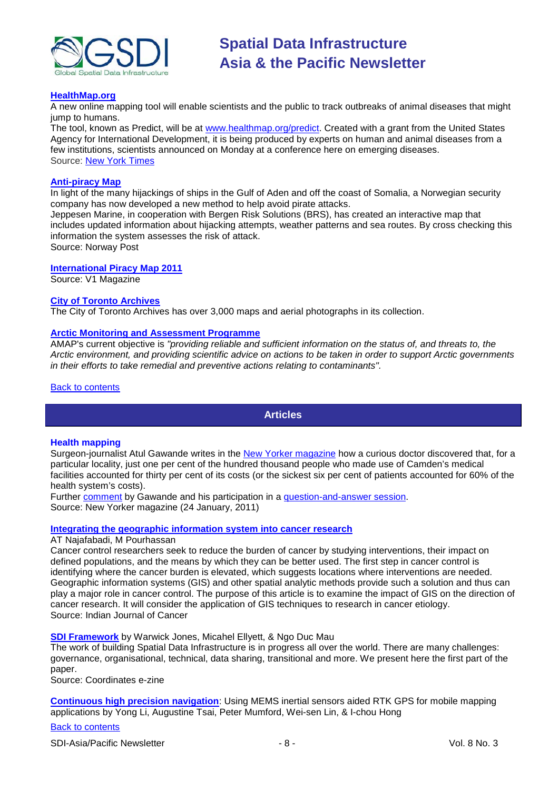

## **[HealthMap.org](http://healthmap.org/en/)**

A new online mapping tool will enable scientists and the public to track outbreaks of animal diseases that might jump to humans.

The tool, known as Predict, will be at [www.healthmap.org/predict.](http://www.healthmap.org/predict) Created with a grant from the United States Agency for International Development, it is being produced by experts on human and animal diseases from a few institutions, scientists announced on Monday at a conference here on emerging diseases. Source: [New York Times](http://www.nytimes.com/2011/02/08/health/08glob.html)

# **[Anti-piracy Map](http://www.norwaypost.no/oil-gas/shipping/norwegian-anti-pirate-map-system.html)**

In light of the many hijackings of ships in the Gulf of Aden and off the coast of Somalia, a Norwegian security company has now developed a new method to help avoid pirate attacks.

Jeppesen Marine, in cooperation with Bergen Risk Solutions (BRS), has created an interactive map that includes updated information about hijacking attempts, weather patterns and sea routes. By cross checking this information the system assesses the risk of attack.

Source: Norway Post

# **[International Piracy Map 2011](http://www.vector1media.com/vectorone/?p=7289)**

Source: V1 Magazine

### **[City of Toronto Archives](http://www.toronto.ca/archives/maps.htm)**

The City of Toronto Archives has over 3,000 maps and aerial photographs in its collection.

### **[Arctic Monitoring and Assessment Programme](http://www.amap.no/)**

AMAP's current objective is *"providing reliable and sufficient information on the status of, and threats to, the Arctic environment, and providing scientific advice on actions to be taken in order to support Arctic governments in their efforts to take remedial and preventive actions relating to contaminants".*

<span id="page-7-0"></span>[Back to contents](#page-0-0)

# **Articles**

### **Health mapping**

Surgeon-journalist Atul Gawande writes in the [New Yorker magazine](http://www.newyorker.com/reporting/2011/01/24/110124fa_fact_gawande#ixzz1F7nefgCi) how a curious doctor discovered that, for a particular locality, just one per cent of the hundred thousand people who made use of Camden's medical facilities accounted for thirty per cent of its costs (or the sickest six per cent of patients accounted for 60% of the health system's costs).

Further **comment** by Gawande and his participation in a [question-and-answer session.](http://www.newyorker.com/online/blogs/ask/2009/01/questions-for-gawande.html) Source: New Yorker magazine (24 January, 2011)

### **Integrating the geographic [information system into cancer research](http://www.indianjcancer.com/article.asp?issn=0019-509X;year=2011;volume=48;issue=1;spage=105;epage=109;aulast=Najafabadi)**

### AT Najafabadi, M Pourhassan

Cancer control researchers seek to reduce the burden of cancer by studying interventions, their impact on defined populations, and the means by which they can be better used. The first step in cancer control is identifying where the cancer burden is elevated, which suggests locations where interventions are needed. Geographic information systems (GIS) and other spatial analytic methods provide such a solution and thus can play a major role in cancer control. The purpose of this article is to examine the impact of GIS on the direction of cancer research. It will consider the application of GIS techniques to research in cancer etiology. Source: Indian Journal of Cancer

### **[SDI Framework](http://mycoordinates.org/sdi-framework/)** by Warwick Jones, Micahel Ellyett, & Ngo Duc Mau

The work of building Spatial Data Infrastructure is in progress all over the world. There are many challenges: governance, organisational, technical, data sharing, transitional and more. We present here the first part of the paper.

Source: Coordinates e-zine

**[Continuous high precision navigation](http://mycoordinates.org/continuous-high-precision-navigation/)**: Using MEMS inertial sensors aided RTK GPS for mobile mapping applications by Yong Li, Augustine Tsai, Peter Mumford, Wei-sen Lin, & I-chou Hong

# [Back to contents](#page-0-0)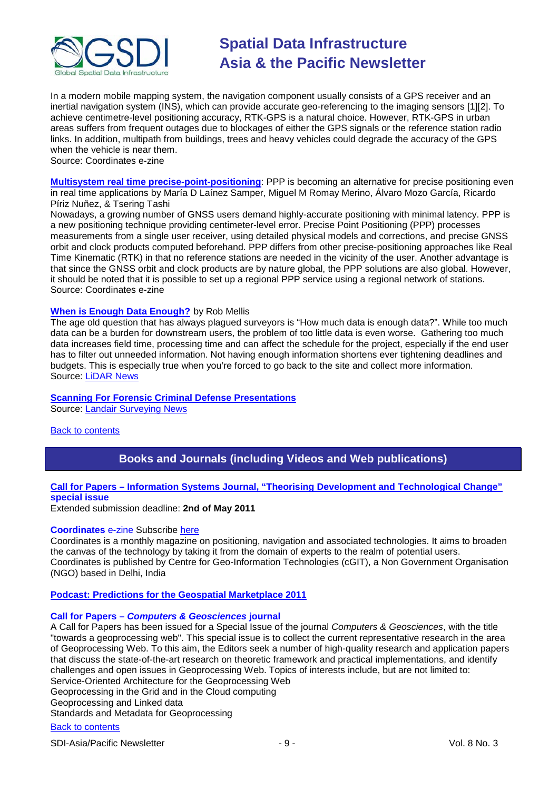

In a modern mobile mapping system, the navigation component usually consists of a GPS receiver and an inertial navigation system (INS), which can provide accurate geo-referencing to the imaging sensors [1][2]. To achieve centimetre-level positioning accuracy, RTK-GPS is a natural choice. However, RTK-GPS in urban areas suffers from frequent outages due to blockages of either the GPS signals or the reference station radio links. In addition, multipath from buildings, trees and heavy vehicles could degrade the accuracy of the GPS when the vehicle is near them.

Source: Coordinates e-zine

**[Multisystem real time precise-point-positioning](http://mycoordinates.org/multisystem-real-time-precise-point-positioning/)**: PPP is becoming an alternative for precise positioning even in real time applications by María D Laínez Samper, Miguel M Romay Merino, Álvaro Mozo García, Ricardo Píriz Nuñez, & Tsering Tashi

Nowadays, a growing number of GNSS users demand highly-accurate positioning with minimal latency. PPP is a new positioning technique providing centimeter-level error. Precise Point Positioning (PPP) processes measurements from a single user receiver, using detailed physical models and corrections, and precise GNSS orbit and clock products computed beforehand. PPP differs from other precise-positioning approaches like Real Time Kinematic (RTK) in that no reference stations are needed in the vicinity of the user. Another advantage is that since the GNSS orbit and clock products are by nature global, the PPP solutions are also global. However, it should be noted that it is possible to set up a regional PPP service using a regional network of stations. Source: Coordinates e-zine

# **[When is Enough Data](http://www.lidarnews.com/content/view/8228/136/) Enough?** by Rob Mellis

The age old question that has always plagued surveyors is "How much data is enough data?". While too much data can be a burden for downstream users, the problem of too little data is even worse. Gathering too much data increases field time, processing time and can affect the schedule for the project, especially if the end user has to filter out unneeded information. Not having enough information shortens ever tightening deadlines and budgets. This is especially true when you're forced to go back to the site and collect more information. Source: [LiDAR News](http://www.lidarnews.com/newsletter/Vol1No3.htm)

# **[Scanning For Forensic Criminal Defense Presentations](http://www.landairsurveying.com/blog/scanning-for-forensic-presentations/)**

Source: [Landair Surveying News](http://www.landairsurveying.com/blog/category/landair-surveying-news/)

# <span id="page-8-0"></span>[Back to contents](#page-0-0)

# **Books and Journals (including Videos and Web publications)**

# **Call for Papers – [Information Systems Journal, "Theorising Development and Technological Change"](http://www.isj-editors.org/?p=300) special issue**

Extended submission deadline: **2nd of May 2011**

### **Coordinates** e-zine Subscribe [here](http://mycoordinates.org/subscribe-ezine/)

Coordinates is a monthly magazine on positioning, navigation and associated technologies. It aims to broaden the canvas of the technology by taking it from the domain of experts to the realm of potential users. Coordinates is published by Centre for Geo-Information Technologies (cGIT), a Non Government Organisation (NGO) based in Delhi, India

**[Podcast: Predictions for the Geospatial Marketplace 2011](http://www.directionsmag.com/podcasts/podcast-predictions-for-the-geospatial-marketplace-2011/147722)**

### **Call for Papers –** *Computers & Geosciences* **journal**

A Call for Papers has been issued for a Special Issue of the journal *Computers & Geosciences*, with the title "towards a geoprocessing web". This special issue is to collect the current representative research in the area of Geoprocessing Web. To this aim, the Editors seek a number of high-quality research and application papers that discuss the state-of-the-art research on theoretic framework and practical implementations, and identify challenges and open issues in Geoprocessing Web. Topics of interests include, but are not limited to: Service-Oriented Architecture for the Geoprocessing Web Geoprocessing in the Grid and in the Cloud computing

Geoprocessing and Linked data

Standards and Metadata for Geoprocessing

# [Back to contents](#page-0-0)

SDI-Asia/Pacific Newsletter  $\overline{9}$  - 9 -  $\overline{9}$  - 9 -  $\overline{9}$  Vol. 8 No. 3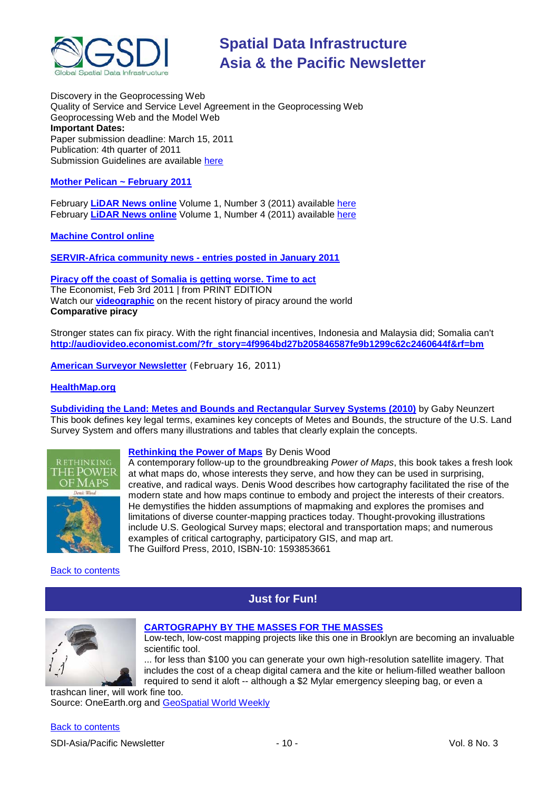

Discovery in the Geoprocessing Web Quality of Service and Service Level Agreement in the Geoprocessing Web Geoprocessing Web and the Model Web **Important Dates:** Paper submission deadline: March 15, 2011 Publication: 4th quarter of 2011 Submission Guidelines are available [here](http://ees.elsevier.com/cageo/default.asp)

# **[Mother Pelican ~ February](http://www.pelicanweb.org/solisustv07n02page1.html) 2011**

February **[LiDAR News online](http://www.lidarnews.com/)** Volume 1, Number 3 (2011) available [here](http://www.lidarnews.com/newsletter/Vol1No3.htm) February **[LiDAR News online](http://www.lidarnews.com/)** Volume 1, Number 4 (2011) available [here](http://www.lidarnews.com/newsletter/Vol1No4.htm)

**[Machine Control online](http://www.machinecontrolonline.com/)**

**[SERVIR-Africa community news -](http://www.servir.net/africa/index.php?option=com_mamblog&Itemid=54&task=show&action=all&id=0&ignorecount=1) entries posted in January 2011**

**[Piracy off the coast of Somalia is getting worse. Time to act](http://www.economist.com/node/18070160)** The Economist, Feb 3rd 2011 | from PRINT EDITION Watch our **[videographic](http://audiovideo.economist.com/?fr_story=4f9964bd27b205846587fe9b1299c62c2460644f&rf=bm)** on the recent history of piracy around the world **Comparative piracy**

Stronger states can fix piracy. With the right financial incentives, Indonesia and Malaysia did; Somalia can't **[http://audiovideo.economist.com/?fr\\_story=4f9964bd27b205846587fe9b1299c62c2460644f&rf=bm](http://audiovideo.economist.com/?fr_story=4f9964bd27b205846587fe9b1299c62c2460644f&rf=bm)**

**[American Surveyor Newsletter](http://www.amerisurv.com/newsletter/16FEB2011.htm)** (February 16, 2011)

### **[HealthMap.org](http://healthmap.org/en/)**

**[Subdividing the Land: Metes and Bounds and Rectangular Survey Systems](http://www.amazon.com/gp/product/1439827478?ie=UTF8&tag=vectmedi-20&linkCode=xm2&creativeASIN=1439827478) (2010)** by Gaby Neunzert This book defines key legal terms, examines key concepts of Metes and Bounds, the structure of the U.S. Land Survey System and offers many illustrations and tables that clearly explain the concepts.



# **[Rethinking the Power of Maps](http://www.amazon.com/gp/offer-listing/1593853661?tag=vectmedi-20&linkCode=sb1&camp=212353&creative=380553)** By Denis Wood

A contemporary follow-up to the groundbreaking *Power of Maps*, this book takes a fresh look at what maps do, whose interests they serve, and how they can be used in surprising, creative, and radical ways. Denis Wood describes how cartography facilitated the rise of the modern state and how maps continue to embody and project the interests of their creators. He demystifies the hidden assumptions of mapmaking and explores the promises and limitations of diverse counter-mapping practices today. Thought-provoking illustrations include U.S. Geological Survey maps; electoral and transportation maps; and numerous examples of critical cartography, participatory GIS, and map art. The Guilford Press, 2010, ISBN-10: 1593853661

# <span id="page-9-0"></span>[Back to contents](#page-0-0)

# **Just for Fun!**

**[CARTOGRAPHY BY THE MASSES FOR THE MASSES](http://www.onearth.org/article/mapping-the-grassroots)**



# Low-tech, low-cost mapping projects like this one in Brooklyn are becoming an invaluable scientific tool.

... for less than \$100 you can generate your own high-resolution satellite imagery. That includes the cost of a cheap digital camera and the kite or helium-filled weather balloon required to send it aloft -- although a \$2 Mylar emergency sleeping bag, or even a

trashcan liner, will work fine too. Source: OneEarth.org and [GeoSpatial World Weekly](http://www.geospatialworld.net/newsletter/weekly_newsletter/feb0711.htm)

# [Back to contents](#page-0-0)

SDI-Asia/Pacific Newsletter  $\sim$  10 - 10 - Vol. 8 No. 3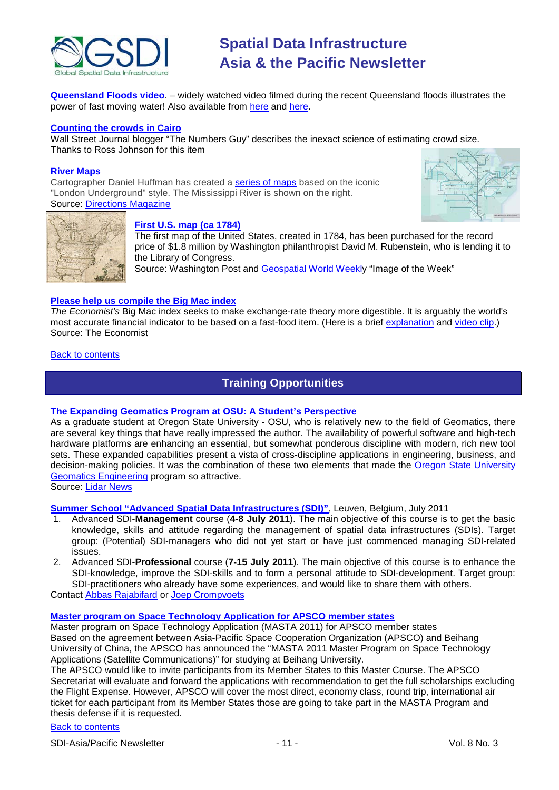

**Queensland Floods video**. – widely watched video filmed during the recent Queensland floods illustrates the power of fast moving water! Also available from [here](http://andjohsemail.blogspot.com/2011/01/fitzroy-river-culvert-qld-collapsing.html) and [here.](http://andjoh.posterous.com/a-fitzroy-river-culvert-qld-collapsing-bridge)

## **[Counting the crowds in Cairo](http://blogs.wsj.com/numbersguy/counting-the-crowds-in-cairo-1035/)**

Wall Street Journal blogger "The Numbers Guy" describes the inexact science of estimating crowd size. Thanks to Ross Johnson for this item

### **River Maps**

Cartographer Daniel Huffman has created a [series of maps](http://somethingaboutmaps.wordpress.com/river-maps/) based on the iconic "London Underground" style. The Mississippi River is shown on the right. Source: [Directions Magazine](http://www.directionsmag.com/newsletters/view/dm-news-tuesday-february-15-2011-podcast/164347)





# **[First U.S. map \(ca 1784\)](http://www.washingtonpost.com/wp-dyn/content/article/2011/01/30/AR2011013003337.html)**

The first map of the United States, created in 1784, has been purchased for the record price of \$1.8 million by Washington philanthropist David M. Rubenstein, who is lending it to the Library of Congress.

Source: Washington Post and [Geospatial World Weekly](http://www.geospatialworld.net/index.php?option=com_imageoftheweek&view=managetemplate&id=19&Itemid=139&year=2011) "Image of the Week"

# **[Please help us compile the Big Mac index](http://www.economist.com/blogs/newsbook/2011/02/burgernomics)**

*The Economist's* Big Mac index seeks to make exchange-rate theory more digestible. It is arguably the world's most accurate financial indicator to be based on a fast-food item. (Here is a brief [explanation](http://www.economist.com/markets/bigmac/about.cfm) and [video clip.](http://www.economist.com/media/audio/burgernomics.ram)) Source: The Economist

## <span id="page-10-0"></span>[Back to contents](#page-0-0)

# **Training Opportunities**

### **The Expanding Geomatics Program at OSU: A Student's Perspective**

As a graduate student at Oregon State University - OSU, who is relatively new to the field of Geomatics, there are several key things that have really impressed the author. The availability of powerful software and high-tech hardware platforms are enhancing an essential, but somewhat ponderous discipline with modern, rich new tool sets. These expanded capabilities present a vista of cross-discipline applications in engineering, business, and decision-making policies. It was the combination of these two elements that made the Oregon State University [Geomatics Engineering](http://cce.oregonstate.edu/geomatics/) program so attractive.

# Source: [Lidar News](http://www.lidarnews.com/content/view/8254/)

# **[Summer School "Advanced Spatial Data Infrastructures \(SDI\)"](http://www.spatialist.be/)**, Leuven, Belgium, July 2011<br>1. Advanced SDI-**Management** course (4-8 July 2011). The main objective of this course is

- 1. Advanced SDI-**Management** course (**4-8 July 2011**). The main objective of this course is to get the basic knowledge, skills and attitude regarding the management of spatial data infrastructures (SDIs). Target group: (Potential) SDI-managers who did not yet start or have just commenced managing SDI-related issues.
- 2. Advanced SDI-**Professional** course (**7-15 July 2011**). The main objective of this course is to enhance the SDI-knowledge, improve the SDI-skills and to form a personal attitude to SDI-development. Target group: SDI-practitioners who already have some experiences, and would like to share them with others.

Contact [Abbas Rajabifard](mailto:abbas.r@unimelb.edu.au) or [Joep Crompvoets](mailto:joep.crompvoets@soc.kuleuven.be)

### **[Master program on Space Technology Application for APSCO member states](http://www.apsco.int/crudgeCont.aspx?news_id=11090)**

Master program on Space Technology Application (MASTA 2011) for APSCO member states Based on the agreement between Asia-Pacific Space Cooperation Organization (APSCO) and Beihang University of China, the APSCO has announced the "MASTA 2011 Master Program on Space Technology Applications (Satellite Communications)" for studying at Beihang University.

The APSCO would like to invite participants from its Member States to this Master Course. The APSCO Secretariat will evaluate and forward the applications with recommendation to get the full scholarships excluding the Flight Expense. However, APSCO will cover the most direct, economy class, round trip, international air ticket for each participant from its Member States those are going to take part in the MASTA Program and thesis defense if it is requested.

# [Back to contents](#page-0-0)

SDI-Asia/Pacific Newsletter  $\sim$  11 - 11 - Vol. 8 No. 3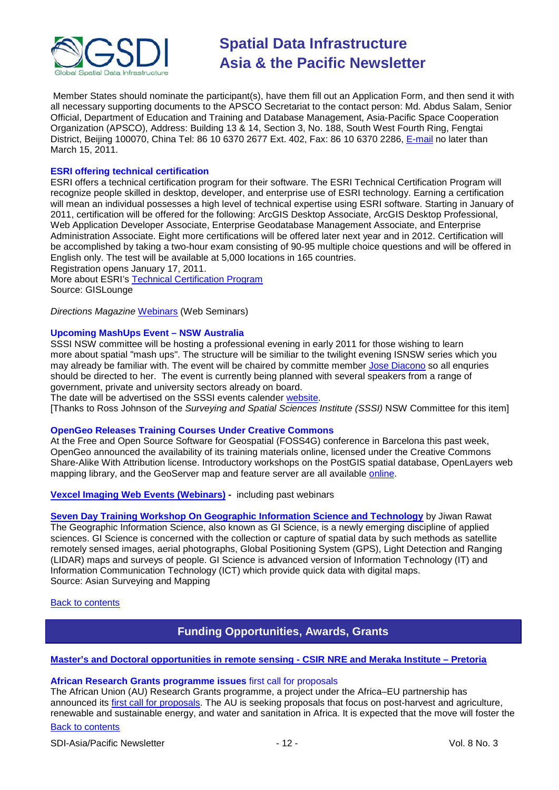

Member States should nominate the participant(s), have them fill out an Application Form, and then send it with all necessary supporting documents to the APSCO Secretariat to the contact person: Md. Abdus Salam, Senior Official, Department of Education and Training and Database Management, Asia-Pacific Space Cooperation Organization (APSCO), Address: Building 13 & 14, Section 3, No. 188, South West Fourth Ring, Fengtai District, Beijing 100070, China Tel: 86 10 6370 2677 Ext. 402, Fax: 86 10 6370 2286, [E-mail](mailto:salam@apsco.int) no later than March 15, 2011.

## **ESRI offering technical certification**

ESRI offers a technical certification program for their software. The ESRI Technical Certification Program will recognize people skilled in desktop, developer, and enterprise use of ESRI technology. Earning a certification will mean an individual possesses a high level of technical expertise using ESRI software. Starting in January of 2011, certification will be offered for the following: ArcGIS Desktop Associate, ArcGIS Desktop Professional, Web Application Developer Associate, Enterprise Geodatabase Management Associate, and Enterprise Administration Associate. Eight more certifications will be offered later next year and in 2012. Certification will be accomplished by taking a two-hour exam consisting of 90-95 multiple choice questions and will be offered in English only. The test will be available at 5,000 locations in 165 countries.

Registration opens January 17, 2011.

More about ESRI's [Technical Certification Program](http://training.esri.com/certification/) Source: GISLounge

*Directions Magazine* [Webinars](http://www.directionsmag.com/webinars/) (Web Seminars)

# **Upcoming MashUps Event – NSW Australia**

SSSI NSW committee will be hosting a professional evening in early 2011 for those wishing to learn more about spatial "mash ups". The structure will be similiar to the twilight evening ISNSW series which you may already be familiar with. The event will be chaired by committe member [Jose Diacono](mailto:jose.diacono@communica.com.au) so all enquries should be directed to her. The event is currently being planned with several speakers from a range of government, private and university sectors already on board.

The date will be advertised on the SSSI events calender [website.](http://www.sssi.org.au/)

[Thanks to Ross Johnson of the *Surveying and Spatial Sciences Institute (SSSI)* NSW Committee for this item]

### **OpenGeo Releases Training Courses Under Creative Commons**

At the Free and Open Source Software for Geospatial (FOSS4G) conference in Barcelona this past week, OpenGeo announced the availability of its training materials online, licensed under the Creative Commons Share-Alike With Attribution license. Introductory workshops on the PostGIS spatial database, OpenLayers web mapping library, and the GeoServer map and feature server are all available [online.](http://www.workshops.opengeo.org/)

**[Vexcel Imaging Web Events \(Webinars\)](http://www.microsoft.com/ultracam/en-us/WebEvents.aspx) -** including past webinars

**[Seven Day Training Workshop On Geographic Information Science and Technology](http://www.asmmag.com/features/feature/report-seven-day-training-workshop-on-geographic-information-science-and-technology-2801540)** by Jiwan Rawat The Geographic Information Science, also known as GI Science, is a newly emerging discipline of applied sciences. GI Science is concerned with the collection or capture of spatial data by such methods as satellite remotely sensed images, aerial photographs, Global Positioning System (GPS), Light Detection and Ranging (LIDAR) maps and surveys of people. GI Science is advanced version of Information Technology (IT) and Information Communication Technology (ICT) which provide quick data with digital maps. Source: Asian Surveying and Mapping

<span id="page-11-0"></span>[Back to contents](#page-0-0)

# **Funding Opportunities, Awards, Grants**

### **[Master's and Doctoral opportunities in remote sensing -](http://www.csir.co.za/recruitment/NRE_Meraka_Nov.php) CSIR NRE and Meraka Institute – Pretoria**

### **African Research Grants programme issues** first call for proposals

[Back to contents](#page-0-0) The African Union (AU) Research Grants programme, a project under the Africa–EU partnership has announced its [first call for proposals.](http://www.africahrst.org/stict/rgp/call2011.aspx) The AU is seeking proposals that focus on post-harvest and agriculture, renewable and sustainable energy, and water and sanitation in Africa. It is expected that the move will foster the

# SDI-Asia/Pacific Newsletter  $\sim$  12 - 12 - Vol. 8 No. 3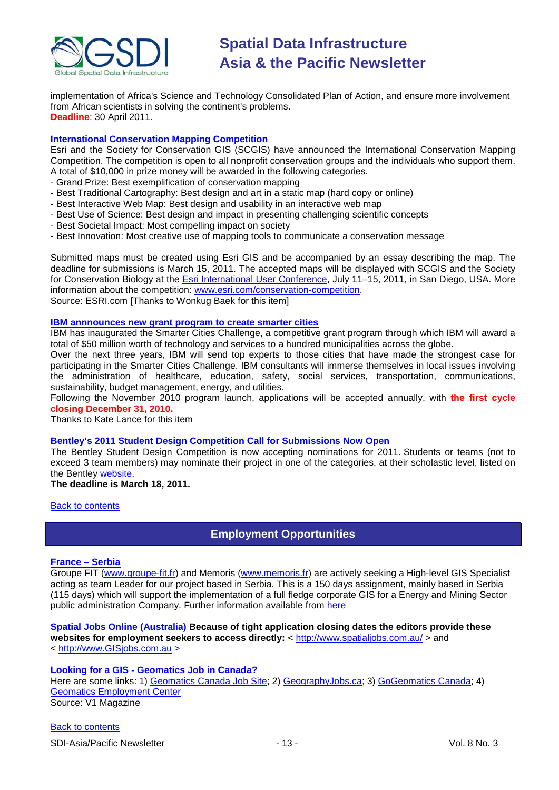

implementation of Africa's Science and Technology Consolidated Plan of Action, and ensure more involvement from African scientists in solving the continent's problems. **Deadline**: 30 April 2011.

# **International Conservation Mapping Competition**

Esri and the Society for Conservation GIS (SCGIS) have announced the International Conservation Mapping Competition. The competition is open to all nonprofit conservation groups and the individuals who support them. A total of \$10,000 in prize money will be awarded in the following categories.

- Grand Prize: Best exemplification of conservation mapping
- Best Traditional Cartography: Best design and art in a static map (hard copy or online)
- Best Interactive Web Map: Best design and usability in an interactive web map
- Best Use of Science: Best design and impact in presenting challenging scientific concepts
- Best Societal Impact: Most compelling impact on society
- Best Innovation: Most creative use of mapping tools to communicate a conservation message

Submitted maps must be created using Esri GIS and be accompanied by an essay describing the map. The deadline for submissions is March 15, 2011. The accepted maps will be displayed with SCGIS and the Society for Conservation Biology at the **Esri International User Conference**, July 11-15, 2011, in San Diego, USA. More information about the competition: [www.esri.com/conservation-competition.](http://www.esri.com/conservation-competition) Source: ESRI.com [Thanks to Wonkug Baek for this item]

### **[IBM annnounces new grant program to create smarter cities](http://www.smartercitieschallenge.org/)**

IBM has inaugurated the Smarter Cities Challenge, a competitive grant program through which IBM will award a total of \$50 million worth of technology and services to a hundred municipalities across the globe.

Over the next three years, IBM will send top experts to those cities that have made the strongest case for participating in the Smarter Cities Challenge. IBM consultants will immerse themselves in local issues involving the administration of healthcare, education, safety, social services, transportation, communications, sustainability, budget management, energy, and utilities.

Following the November 2010 program launch, applications will be accepted annually, with **the first cycle closing December 31, 2010.**

Thanks to Kate Lance for this item

# **Bentley's 2011 Student Design Competition Call for Submissions Now Open**

The Bentley Student Design Competition is now accepting nominations for 2011. Students or teams (not to exceed 3 team members) may nominate their project in one of the categories, at their scholastic level, listed on the Bentley [website.](http://www.bentley.com/en-US/Corporate/News/Quarter+3/2011+Submissions.htm?BI=homepage&v=news+submissions)

### **The deadline is March 18, 2011.**

<span id="page-12-0"></span>**[Back to contents](#page-0-0)** 

# **Employment Opportunities**

### **[France –](http://jobs.gislounge.com/gis-specialist-serbia/) Serbia**

Groupe FIT [\(www.groupe-fit.fr\)](http://www.groupe-fit.fr/) and Memoris [\(www.memoris.fr\)](http://www.memoris.fr/) are actively seeking a High-level GIS Specialist acting as team Leader for our project based in Serbia. This is a 150 days assignment, mainly based in Serbia (115 days) which will support the implementation of a full fledge corporate GIS for a Energy and Mining Sector public administration Company. Further information available from [here](http://jobs.gislounge.com/gis-specialist-serbia/)

#### **Spatial Jobs Online (Australia) Because of tight application closing dates the editors provide these websites for employment seekers to access directly:** <<http://www.spatialjobs.com.au/> > and

< [http://www.GISjobs.com.au](http://www.gisjobs.com.au/) >

### **Looking for a GIS - Geomatics Job in Canada?**

Here are some links: 1) [Geomatics Canada Job Site;](http://geomaticscanada.com/jobs.cfm) 2) [GeographyJobs.ca;](http://www.geographyjobs.ca/) 3) [GoGeomatics Canada;](http://canada.gogeomatics.net/frmHome.aspx) 4) [Geomatics Employment Center](http://gisjobs.ca/)

Source: V1 Magazine

[Back to contents](#page-0-0)

SDI-Asia/Pacific Newsletter  $\sim$  13 - 13 - Vol. 8 No. 3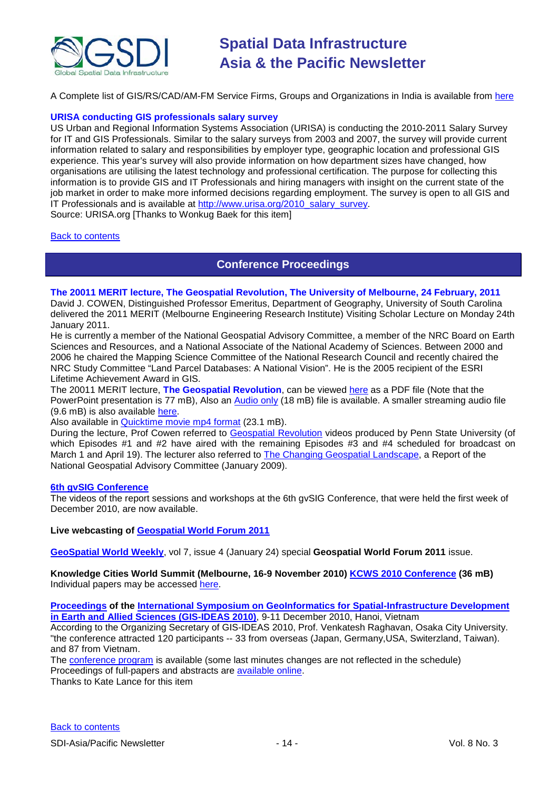

A Complete list of GIS/RS/CAD/AM-FM Service Firms, Groups and Organizations in India is available from [here](http://www.gisinindia.com/index.php?n=India.GISCompanies)

### **URISA conducting GIS professionals salary survey**

US Urban and Regional Information Systems Association (URISA) is conducting the 2010-2011 Salary Survey for IT and GIS Professionals. Similar to the salary surveys from 2003 and 2007, the survey will provide current information related to salary and responsibilities by employer type, geographic location and professional GIS experience. This year's survey will also provide information on how department sizes have changed, how organisations are utilising the latest technology and professional certification. The purpose for collecting this information is to provide GIS and IT Professionals and hiring managers with insight on the current state of the job market in order to make more informed decisions regarding employment. The survey is open to all GIS and IT Professionals and is available at [http://www.urisa.org/2010\\_salary\\_survey.](http://www.urisa.org/2010_salary_survey)

Source: URISA.org [Thanks to Wonkug Baek for this item]

### <span id="page-13-0"></span>[Back to contents](#page-0-0)

# **Conference Proceedings**

# **The 20011 MERIT lecture, The Geospatial Revolution, The University of Melbourne, 24 February, 2011**

David J. COWEN, Distinguished Professor Emeritus, Department of Geography, University of South Carolina delivered the 2011 MERIT (Melbourne Engineering Research Institute) Visiting Scholar Lecture on Monday 24th January 2011.

He is currently a member of the National Geospatial Advisory Committee, a member of the NRC Board on Earth Sciences and Resources, and a National Associate of the National Academy of Sciences. Between 2000 and 2006 he chaired the Mapping Science Committee of the National Research Council and recently chaired the NRC Study Committee "Land Parcel Databases: A National Vision". He is the 2005 recipient of the ESRI Lifetime Achievement Award in GIS.

The 20011 MERIT lecture, **The Geospatial Revolution**, can be viewed [here](http://www.csdila.unimelb.edu.au/people/PeopleFiles/DavidCowen/DavidCowenV2.pdf) as a PDF file (Note that the PowerPoint presentation is 77 mB), Also an [Audio only](http://qtlisten.lecture.unimelb.edu.au/download-media/Sem018/1101241555Sem01812500101488059.mp3) (18 mB) file is available. A smaller streaming audio file (9.6 mB) is also available [here.](http://harangue.lecture.unimelb.edu.au/Lectopia/Lectopia.lasso?ut=721&id=101488)

# Also available in **Quicktime movie mp4 format** (23.1 mB).

During the lecture, Prof Cowen referred to [Geospatial Revolution](http://geospatialrevolution.psu.edu/) videos produced by Penn State University (of which Episodes #1 and #2 have aired with the remaining Episodes #3 and #4 scheduled for broadcast on March 1 and April 19). The lecturer also referred to **The Changing Geospatial Landscape**, a Report of the National Geospatial Advisory Committee (January 2009).

#### **[6th gvSIG Conference](http://jornadas.gvsig.org/comunicaciones/reports)**

The videos of the report sessions and workshops at the 6th gvSIG Conference, that were held the first week of December 2010, are now available.

# **Live webcasting of [Geospatial World Forum 2011](http://www.geospatialworld.net/index.php?option=com_content&view=article&id=21376&Itemid=2130)**

**[GeoSpatial World Weekly](http://www.geospatialworld.net/newsletter/weekly_newsletter/jan2411.htm)**, vol 7, issue 4 (January 24) special **Geospatial World Forum 2011** issue.

**Knowledge Cities World Summit (Melbourne, 16-9 November 2010) [KCWS 2010 Conference](http://www.melbourneknowledgesummit.com/portals/14/proceedings/summit-proceedings.html) (36 mB)** Individual papers may be accessed [here.](http://www.melbourneknowledgesummit.com/portals/14/proceedings/papers.html)

**[Proceedings](http://wgrass.media.osaka-cu.ac.jp/gisideas10/papers.php?first_letter=all) of the International Symposium on GeoInformatics for Spatial-Infrastructure Development [in Earth and Allied Sciences \(GIS-IDEAS 2010\)](http://wgrass.media.osaka-cu.ac.jp/gisideas10/)**, 9-11 December 2010, Hanoi, Vietnam

According to the Organizing Secretary of GIS-IDEAS 2010, Prof. Venkatesh Raghavan, Osaka City University. "the conference attracted 120 participants -- 33 from overseas (Japan, Germany,USA, Switerzland, Taiwan). and 87 from Vietnam.

The [conference program](http://wgrass.media.osaka-cu.ac.jp/gisideas10/schedule.php) is available (some last minutes changes are not reflected in the schedule) Proceedings of full-papers and abstracts are [available online.](http://wgrass.media.osaka-cu.ac.jp/gisideas10/papers.php?first_letter=all)

Thanks to Kate Lance for this item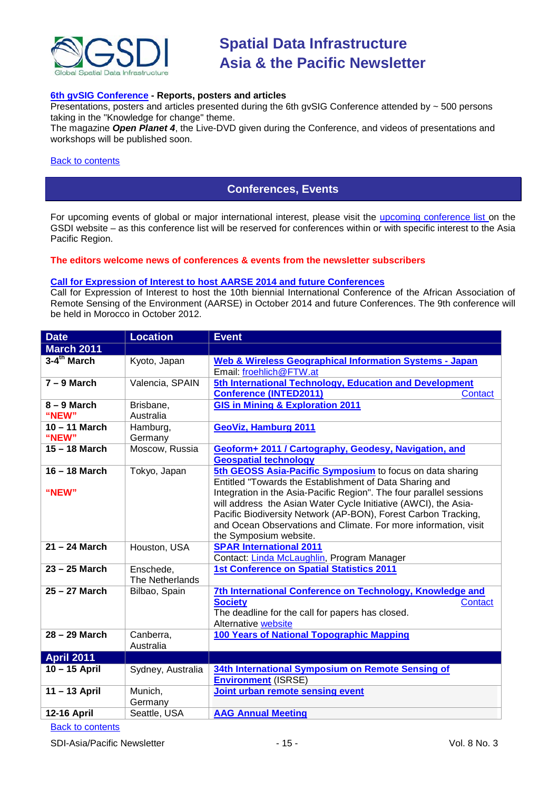

# **[6th gvSIG Conference](http://jornadas.gvsig.org/comunicaciones/reports) - Reports, posters and articles**

Presentations, posters and articles presented during the 6th gvSIG Conference attended by ~ 500 persons taking in the "Knowledge for change" theme.

The magazine *Open Planet 4*, the Live-DVD given during the Conference, and videos of presentations and workshops will be published soon.

#### <span id="page-14-0"></span>[Back to contents](#page-0-0)

# **Conferences, Events**

For upcoming events of global or major international interest, please visit the [upcoming conference list o](http://gsdi.org/events/upcnf.asp)n the GSDI website – as this conference list will be reserved for conferences within or with specific interest to the Asia Pacific Region.

#### **The editors welcome news of conferences & events from the newsletter subscribers**

#### **[Call for Expression of Interest to host AARSE 2014 and future Conferences](http://lists.gsdi.org/pipermail/sdi-africa/2010-November/001135.html)**

Call for Expression of Interest to host the 10th biennial International Conference of the African Association of Remote Sensing of the Environment (AARSE) in October 2014 and future Conferences. The 9th conference will be held in Morocco in October 2012.

| <b>Date</b>               | <b>Location</b>              | <b>Event</b>                                                                                                                                                                                                                                                                                                                                                                                                                  |
|---------------------------|------------------------------|-------------------------------------------------------------------------------------------------------------------------------------------------------------------------------------------------------------------------------------------------------------------------------------------------------------------------------------------------------------------------------------------------------------------------------|
| <b>March 2011</b>         |                              |                                                                                                                                                                                                                                                                                                                                                                                                                               |
| $3-4$ <sup>th</sup> March | Kyoto, Japan                 | <b>Web &amp; Wireless Geographical Information Systems - Japan</b><br>Email: froehlich@FTW.at                                                                                                                                                                                                                                                                                                                                 |
| $7 - 9$ March             | Valencia, SPAIN              | 5th International Technology, Education and Development<br><b>Conference (INTED2011)</b><br><b>Contact</b>                                                                                                                                                                                                                                                                                                                    |
| $8 - 9$ March<br>"NEW"    | Brisbane,<br>Australia       | <b>GIS in Mining &amp; Exploration 2011</b>                                                                                                                                                                                                                                                                                                                                                                                   |
| $10 - 11$ March<br>"NEW"  | Hamburg,<br>Germany          | GeoViz, Hamburg 2011                                                                                                                                                                                                                                                                                                                                                                                                          |
| 15 - 18 March             | Moscow, Russia               | Geoform+ 2011 / Cartography, Geodesy, Navigation, and<br><b>Geospatial technology</b>                                                                                                                                                                                                                                                                                                                                         |
| 16 - 18 March<br>"NEW"    | Tokyo, Japan                 | 5th GEOSS Asia-Pacific Symposium to focus on data sharing<br>Entitled "Towards the Establishment of Data Sharing and<br>Integration in the Asia-Pacific Region". The four parallel sessions<br>will address the Asian Water Cycle Initiative (AWCI), the Asia-<br>Pacific Biodiversity Network (AP-BON), Forest Carbon Tracking,<br>and Ocean Observations and Climate. For more information, visit<br>the Symposium website. |
| 21 - 24 March             | Houston, USA                 | <b>SPAR International 2011</b><br>Contact: Linda McLaughlin, Program Manager                                                                                                                                                                                                                                                                                                                                                  |
| $23 - 25$ March           | Enschede,<br>The Netherlands | <b>1st Conference on Spatial Statistics 2011</b>                                                                                                                                                                                                                                                                                                                                                                              |
| 25 - 27 March             | Bilbao, Spain                | 7th International Conference on Technology, Knowledge and<br><b>Society</b><br>Contact<br>The deadline for the call for papers has closed.<br>Alternative website                                                                                                                                                                                                                                                             |
| 28 - 29 March             | Canberra,<br>Australia       | 100 Years of National Topographic Mapping                                                                                                                                                                                                                                                                                                                                                                                     |
| <b>April 2011</b>         |                              |                                                                                                                                                                                                                                                                                                                                                                                                                               |
| 10 - 15 April             | Sydney, Australia            | 34th International Symposium on Remote Sensing of<br><b>Environment (ISRSE)</b>                                                                                                                                                                                                                                                                                                                                               |
| 11-13 April               | Munich,<br>Germany           | Joint urban remote sensing event                                                                                                                                                                                                                                                                                                                                                                                              |
| <b>12-16 April</b>        | Seattle, USA                 | <b>AAG Annual Meeting</b>                                                                                                                                                                                                                                                                                                                                                                                                     |

# [Back to contents](#page-0-0)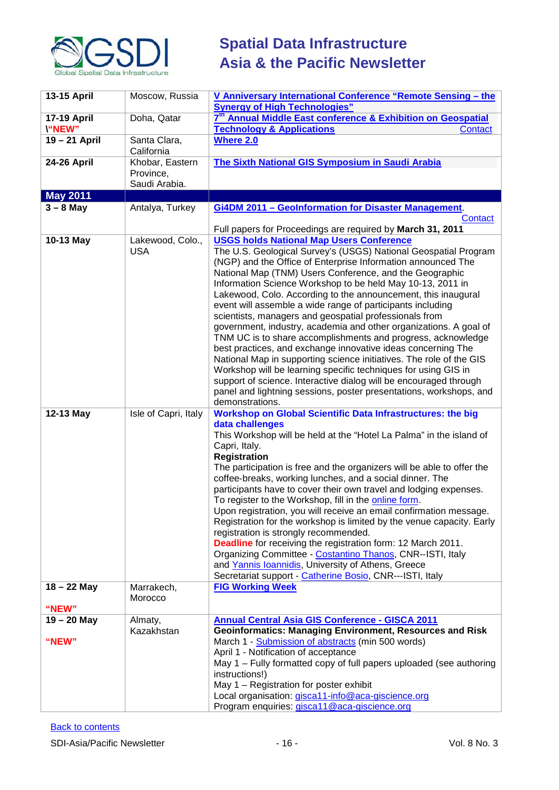

| <b>13-15 April</b>                  | Moscow, Russia                                | V Anniversary International Conference "Remote Sensing - the<br><b>Synergy of High Technologies"</b>                                                                                                                                                                                                                                                                                                                                                                                                                                                                                                                                                                                                                                                                                                                                                                                                                                                                                                             |
|-------------------------------------|-----------------------------------------------|------------------------------------------------------------------------------------------------------------------------------------------------------------------------------------------------------------------------------------------------------------------------------------------------------------------------------------------------------------------------------------------------------------------------------------------------------------------------------------------------------------------------------------------------------------------------------------------------------------------------------------------------------------------------------------------------------------------------------------------------------------------------------------------------------------------------------------------------------------------------------------------------------------------------------------------------------------------------------------------------------------------|
| <b>17-19 April</b><br><b>\"NEW"</b> | Doha, Qatar                                   | 7 <sup>th</sup> Annual Middle East conference & Exhibition on Geospatial<br><b>Technology &amp; Applications</b><br><b>Contact</b>                                                                                                                                                                                                                                                                                                                                                                                                                                                                                                                                                                                                                                                                                                                                                                                                                                                                               |
| 19-21 April                         | Santa Clara,<br>California                    | <b>Where 2.0</b>                                                                                                                                                                                                                                                                                                                                                                                                                                                                                                                                                                                                                                                                                                                                                                                                                                                                                                                                                                                                 |
| <b>24-26 April</b>                  | Khobar, Eastern<br>Province,<br>Saudi Arabia. | <b>The Sixth National GIS Symposium in Saudi Arabia</b>                                                                                                                                                                                                                                                                                                                                                                                                                                                                                                                                                                                                                                                                                                                                                                                                                                                                                                                                                          |
| <b>May 2011</b>                     |                                               |                                                                                                                                                                                                                                                                                                                                                                                                                                                                                                                                                                                                                                                                                                                                                                                                                                                                                                                                                                                                                  |
| $3 - 8$ May                         | Antalya, Turkey                               | Gi4DM 2011 - GeoInformation for Disaster Management.<br>Contact<br>Full papers for Proceedings are required by March 31, 2011                                                                                                                                                                                                                                                                                                                                                                                                                                                                                                                                                                                                                                                                                                                                                                                                                                                                                    |
| 10-13 May                           | Lakewood, Colo.,<br><b>USA</b>                | <b>USGS holds National Map Users Conference</b><br>The U.S. Geological Survey's (USGS) National Geospatial Program<br>(NGP) and the Office of Enterprise Information announced The<br>National Map (TNM) Users Conference, and the Geographic<br>Information Science Workshop to be held May 10-13, 2011 in<br>Lakewood, Colo. According to the announcement, this inaugural<br>event will assemble a wide range of participants including<br>scientists, managers and geospatial professionals from<br>government, industry, academia and other organizations. A goal of<br>TNM UC is to share accomplishments and progress, acknowledge<br>best practices, and exchange innovative ideas concerning The<br>National Map in supporting science initiatives. The role of the GIS<br>Workshop will be learning specific techniques for using GIS in<br>support of science. Interactive dialog will be encouraged through<br>panel and lightning sessions, poster presentations, workshops, and<br>demonstrations. |
| 12-13 May                           | Isle of Capri, Italy                          | <b>Workshop on Global Scientific Data Infrastructures: the big</b><br>data challenges<br>This Workshop will be held at the "Hotel La Palma" in the island of<br>Capri, Italy.<br><b>Registration</b><br>The participation is free and the organizers will be able to offer the<br>coffee-breaks, working lunches, and a social dinner. The<br>participants have to cover their own travel and lodging expenses.<br>To register to the Workshop, fill in the online form.<br>Upon registration, you will receive an email confirmation message.<br>Registration for the workshop is limited by the venue capacity. Early<br>registration is strongly recommended.<br><b>Deadline</b> for receiving the registration form: 12 March 2011.<br>Organizing Committee - Costantino Thanos, CNR--ISTI, Italy<br>and Yannis Ioannidis, University of Athens, Greece<br>Secretariat support - Catherine Bosio, CNR---ISTI, Italy                                                                                          |
| $18 - 22$ May                       | Marrakech,<br>Morocco                         | <b>FIG Working Week</b>                                                                                                                                                                                                                                                                                                                                                                                                                                                                                                                                                                                                                                                                                                                                                                                                                                                                                                                                                                                          |
| "NEW"                               |                                               |                                                                                                                                                                                                                                                                                                                                                                                                                                                                                                                                                                                                                                                                                                                                                                                                                                                                                                                                                                                                                  |
| $19 - 20$ May<br>"NEW"              | Almaty,<br>Kazakhstan                         | <b>Annual Central Asia GIS Conference - GISCA 2011</b><br><b>Geoinformatics: Managing Environment, Resources and Risk</b><br>March 1 - Submission of abstracts (min 500 words)<br>April 1 - Notification of acceptance<br>May 1 - Fully formatted copy of full papers uploaded (see authoring<br>instructions!)<br>May 1 - Registration for poster exhibit<br>Local organisation: gisca11-info@aca-giscience.org<br>Program enquiries: gisca11@aca-giscience.org                                                                                                                                                                                                                                                                                                                                                                                                                                                                                                                                                 |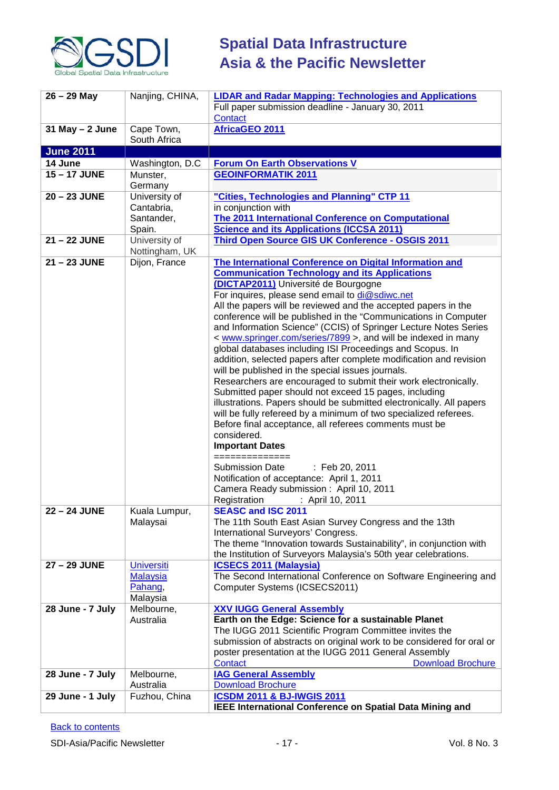

| $26 - 29$ May       | Nanjing, CHINA,            | <b>LIDAR and Radar Mapping: Technologies and Applications</b><br>Full paper submission deadline - January 30, 2011<br>Contact |
|---------------------|----------------------------|-------------------------------------------------------------------------------------------------------------------------------|
| $31$ May $- 2$ June | Cape Town,<br>South Africa | <b>AfricaGEO 2011</b>                                                                                                         |
| <b>June 2011</b>    |                            |                                                                                                                               |
| 14 June             | Washington, D.C            | <b>Forum On Earth Observations V</b>                                                                                          |
| 15-17 JUNE          | Munster,                   | <b>GEOINFORMATIK 2011</b>                                                                                                     |
|                     | Germany                    |                                                                                                                               |
| 20 - 23 JUNE        | University of              | "Cities, Technologies and Planning" CTP 11                                                                                    |
|                     | Cantabria,                 | in conjunction with                                                                                                           |
|                     | Santander,                 | <b>The 2011 International Conference on Computational</b>                                                                     |
|                     | Spain.                     | <b>Science and its Applications (ICCSA 2011)</b>                                                                              |
| 21 - 22 JUNE        | University of              | <b>Third Open Source GIS UK Conference - OSGIS 2011</b>                                                                       |
|                     | Nottingham, UK             |                                                                                                                               |
| 21-23 JUNE          | Dijon, France              | The International Conference on Digital Information and                                                                       |
|                     |                            | <b>Communication Technology and its Applications</b>                                                                          |
|                     |                            | (DICTAP2011) Université de Bourgogne                                                                                          |
|                     |                            | For inquires, please send email to di@sdiwc.net                                                                               |
|                     |                            |                                                                                                                               |
|                     |                            | All the papers will be reviewed and the accepted papers in the                                                                |
|                     |                            | conference will be published in the "Communications in Computer                                                               |
|                     |                            | and Information Science" (CCIS) of Springer Lecture Notes Series                                                              |
|                     |                            | < www.springer.com/series/7899 >, and will be indexed in many                                                                 |
|                     |                            | global databases including ISI Proceedings and Scopus. In                                                                     |
|                     |                            | addition, selected papers after complete modification and revision                                                            |
|                     |                            | will be published in the special issues journals.                                                                             |
|                     |                            | Researchers are encouraged to submit their work electronically.                                                               |
|                     |                            | Submitted paper should not exceed 15 pages, including                                                                         |
|                     |                            | illustrations. Papers should be submitted electronically. All papers                                                          |
|                     |                            | will be fully refereed by a minimum of two specialized referees.                                                              |
|                     |                            | Before final acceptance, all referees comments must be                                                                        |
|                     |                            | considered.                                                                                                                   |
|                     |                            | <b>Important Dates</b>                                                                                                        |
|                     |                            | ==============                                                                                                                |
|                     |                            | <b>Submission Date</b><br>: Feb 20, 2011                                                                                      |
|                     |                            | Notification of acceptance: April 1, 2011                                                                                     |
|                     |                            | Camera Ready submission: April 10, 2011                                                                                       |
|                     |                            | : April 10, 2011<br>Registration                                                                                              |
| 22 - 24 JUNE        | Kuala Lumpur,              | <b>SEASC and ISC 2011</b>                                                                                                     |
|                     | Malaysai                   | The 11th South East Asian Survey Congress and the 13th                                                                        |
|                     |                            | International Surveyors' Congress.                                                                                            |
|                     |                            |                                                                                                                               |
|                     |                            | The theme "Innovation towards Sustainability", in conjunction with                                                            |
|                     |                            | the Institution of Surveyors Malaysia's 50th year celebrations.                                                               |
| 27 - 29 JUNE        | <b>Universiti</b>          | <b>ICSECS 2011 (Malaysia)</b>                                                                                                 |
|                     | <b>Malaysia</b>            | The Second International Conference on Software Engineering and                                                               |
|                     | Pahang,                    | Computer Systems (ICSECS2011)                                                                                                 |
|                     | Malaysia                   |                                                                                                                               |
| 28 June - 7 July    | Melbourne,                 | <b>XXV IUGG General Assembly</b>                                                                                              |
|                     | Australia                  | Earth on the Edge: Science for a sustainable Planet                                                                           |
|                     |                            | The IUGG 2011 Scientific Program Committee invites the                                                                        |
|                     |                            | submission of abstracts on original work to be considered for oral or                                                         |
|                     |                            | poster presentation at the IUGG 2011 General Assembly                                                                         |
|                     |                            | <b>Download Brochure</b><br><b>Contact</b>                                                                                    |
| 28 June - 7 July    | Melbourne,                 | <b>IAG General Assembly</b>                                                                                                   |
|                     | Australia                  | <b>Download Brochure</b>                                                                                                      |
| 29 June - 1 July    | Fuzhou, China              | <b>ICSDM 2011 &amp; BJ-IWGIS 2011</b>                                                                                         |
|                     |                            | IEEE International Conference on Spatial Data Mining and                                                                      |
|                     |                            |                                                                                                                               |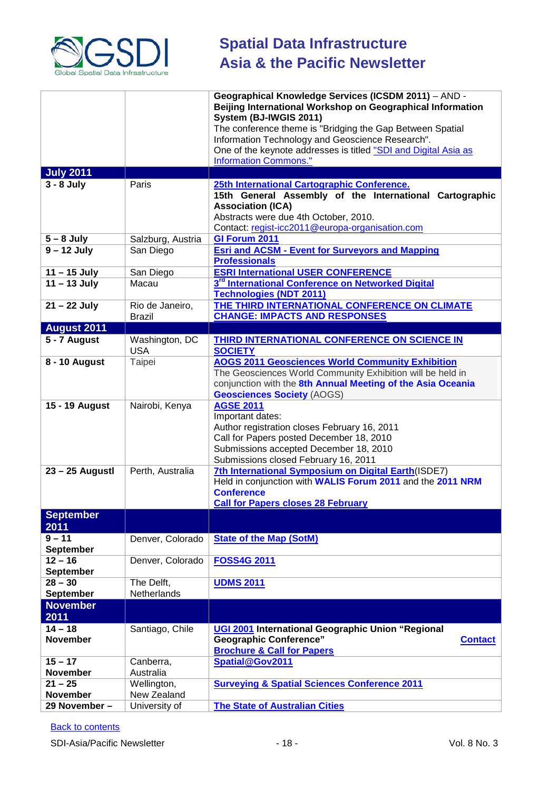

|                               |                                  | Geographical Knowledge Services (ICSDM 2011) - AND -<br>Beijing International Workshop on Geographical Information<br>System (BJ-IWGIS 2011)<br>The conference theme is "Bridging the Gap Between Spatial                 |
|-------------------------------|----------------------------------|---------------------------------------------------------------------------------------------------------------------------------------------------------------------------------------------------------------------------|
|                               |                                  | Information Technology and Geoscience Research".<br>One of the keynote addresses is titled "SDI and Digital Asia as                                                                                                       |
| <b>July 2011</b>              |                                  | <b>Information Commons."</b>                                                                                                                                                                                              |
| $3 - 8$ July                  | Paris                            | 25th International Cartographic Conference.                                                                                                                                                                               |
|                               |                                  | 15th General Assembly of the International Cartographic<br><b>Association (ICA)</b><br>Abstracts were due 4th October, 2010.<br>Contact: regist-icc2011@europa-organisation.com                                           |
| $5 - 8$ July                  | Salzburg, Austria                | GI Forum 2011                                                                                                                                                                                                             |
| $9 - 12$ July                 | San Diego                        | <b>Esri and ACSM - Event for Surveyors and Mapping</b><br><b>Professionals</b>                                                                                                                                            |
| $11 - 15$ July                | San Diego                        | <b>ESRI International USER CONFERENCE</b>                                                                                                                                                                                 |
| $11 - 13$ July                | Macau                            | 3 <sup>rd</sup> International Conference on Networked Digital<br><b>Technologies (NDT 2011)</b>                                                                                                                           |
| $21 - 22$ July                | Rio de Janeiro,<br><b>Brazil</b> | THE THIRD INTERNATIONAL CONFERENCE ON CLIMATE<br><b>CHANGE: IMPACTS AND RESPONSES</b>                                                                                                                                     |
| <b>August 2011</b>            |                                  |                                                                                                                                                                                                                           |
| 5 - 7 August                  | Washington, DC<br><b>USA</b>     | <b>THIRD INTERNATIONAL CONFERENCE ON SCIENCE IN</b><br><b>SOCIETY</b>                                                                                                                                                     |
| 8 - 10 August                 | Taipei                           | <b>AOGS 2011 Geosciences World Community Exhibition</b><br>The Geosciences World Community Exhibition will be held in<br>conjunction with the 8th Annual Meeting of the Asia Oceania<br><b>Geosciences Society (AOGS)</b> |
| 15 - 19 August                | Nairobi, Kenya                   | <b>AGSE 2011</b><br>Important dates:<br>Author registration closes February 16, 2011<br>Call for Papers posted December 18, 2010<br>Submissions accepted December 18, 2010<br>Submissions closed February 16, 2011        |
| $23 - 25$ Augustl             | Perth, Australia                 | 7th International Symposium on Digital Earth(ISDE7)<br>Held in conjunction with WALIS Forum 2011 and the 2011 NRM<br><b>Conference</b><br><b>Call for Papers closes 28 February</b>                                       |
| <b>September</b><br>2011      |                                  |                                                                                                                                                                                                                           |
| $9 - 11$<br><b>September</b>  | Denver, Colorado                 | <b>State of the Map (SotM)</b>                                                                                                                                                                                            |
| $12 - 16$<br><b>September</b> | Denver, Colorado                 | <b>FOSS4G 2011</b>                                                                                                                                                                                                        |
| $28 - 30$<br><b>September</b> | The Delft,<br>Netherlands        | <b>UDMS 2011</b>                                                                                                                                                                                                          |
| <b>November</b><br>2011       |                                  |                                                                                                                                                                                                                           |
| $14 - 18$<br><b>November</b>  | Santiago, Chile                  | UGI 2001 International Geographic Union "Regional<br><b>Geographic Conference"</b><br><b>Contact</b><br><b>Brochure &amp; Call for Papers</b>                                                                             |
| $15 - 17$                     | Canberra,                        | Spatial@Gov2011                                                                                                                                                                                                           |
| <b>November</b>               | Australia                        |                                                                                                                                                                                                                           |
| $21 - 25$                     | Wellington,                      | <b>Surveying &amp; Spatial Sciences Conference 2011</b>                                                                                                                                                                   |
| <b>November</b>               | New Zealand                      |                                                                                                                                                                                                                           |
| 29 November -                 | University of                    | <b>The State of Australian Cities</b>                                                                                                                                                                                     |

# **[Back to contents](#page-0-0)**